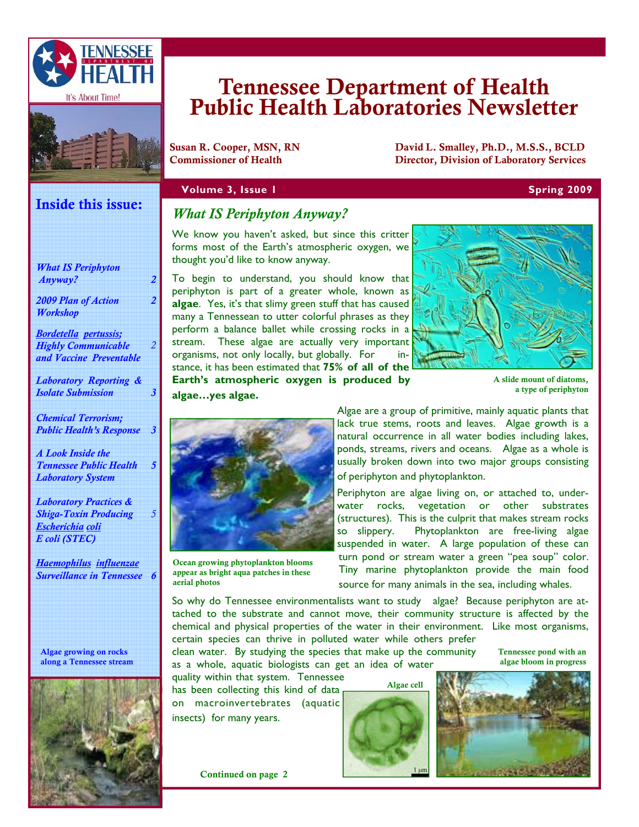



# Tennessee Department of Health Public Health Laboratories Newsletter

Susan R. Cooper, MSN, RN David L. Smalley, Ph.D., M.S.S., BCLD<br>Commissioner of Health Director. Division of Laboratory Services Director, Division of Laboratory Services

### **Volume 3, Issue 1 Spring 2009 Spring 2009**

# Inside this issue:

*Highly Communicable and Vaccine Preventable* 

*Laboratory Reporting & Isolate Submission 3* 

*Chemical Terrorism; Public Health's Response 3* 

*A Look Inside the Tennessee Public Health Laboratory System* 

*5* 

*5* 

*2* 

*Laboratory Practices & Shiga-Toxin Producing Escherichia coli E coli (STEC)* 

*Haemophilus influenzae Surveillance in Tennessee 6* 

Algae growing on rocks along a Tennessee stream



# *What IS Periphyton Anyway?*

We know you haven't asked, but since this critter forms most of the Earth's atmospheric oxygen, we thought you'd like to know anyway.

To begin to understand, you should know that periphyton is part of a greater whole, known as **algae**. Yes, it's that slimy green stuff that has caused many a Tennessean to utter colorful phrases as they perform a balance ballet while crossing rocks in a stream. These algae are actually very important organisms, not only locally, but globally. For stance, it has been estimated that **75% of all of the Earth's atmospheric oxygen is produced by algae…yes algae.** 



 A slide mount of diatoms, a type of periphyton



Ocean growing phytoplankton blooms appear as bright aqua patches in these aerial photos

Algae are a group of primitive, mainly aquatic plants that lack true stems, roots and leaves. Algae growth is a natural occurrence in all water bodies including lakes, ponds, streams, rivers and oceans. Algae as a whole is usually broken down into two major groups consisting of periphyton and phytoplankton.

Periphyton are algae living on, or attached to, underwater rocks, vegetation or other substrates (structures). This is the culprit that makes stream rocks so slippery. Phytoplankton are free-living algae suspended in water. A large population of these can turn pond or stream water a green "pea soup" color. Tiny marine phytoplankton provide the main food source for many animals in the sea, including whales.

So why do Tennessee environmentalists want to study algae? Because periphyton are attached to the substrate and cannot move, their community structure is affected by the chemical and physical properties of the water in their environment. Like most organisms, certain species can thrive in polluted water while others prefer

clean water. By studying the species that make up the community as a whole, aquatic biologists can get an idea of water

quality within that system. Tennessee has been collecting this kind of data on macroinvertebrates (aquatic

insects) for many years.

Continued on page 2





Tennessee pond with an algae bloom in progress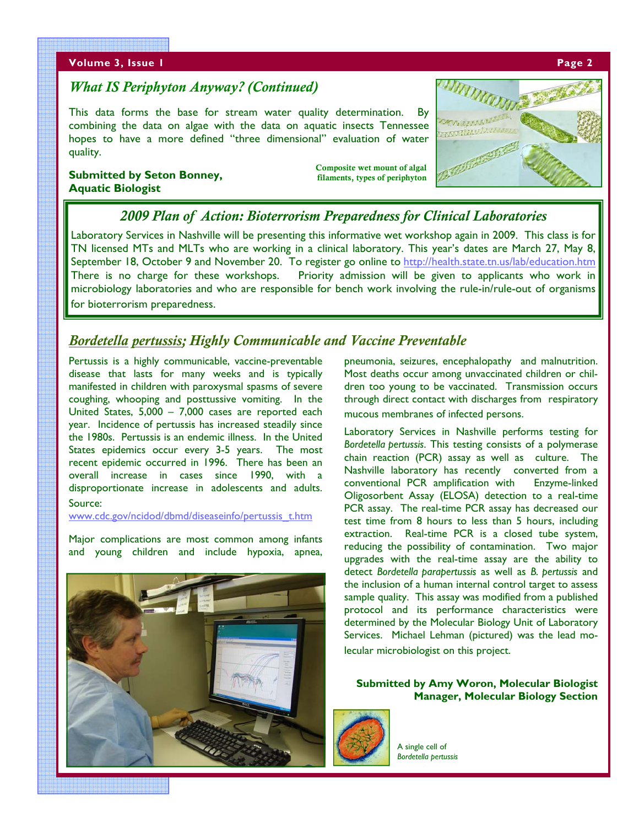#### **Volume 3, Issue 1 Page 2 Advanced Advanced Advanced Advanced Advanced Advanced Advanced Advanced Advanced Adv**ance

# *What IS Periphyton Anyway? (Continued)*

This data forms the base for stream water quality determination. By combining the data on algae with the data on aquatic insects Tennessee hopes to have a more defined "three dimensional" evaluation of water quality.

## **Submitted by Seton Bonney, Aquatic Biologist**

Composite wet mount of algal filaments, types of periphyton



# *2009 Plan of Action: Bioterrorism Preparedness for Clinical Laboratories*

Laboratory Services in Nashville will be presenting this informative wet workshop again in 2009. This class is for TN licensed MTs and MLTs who are working in a clinical laboratory. This year's dates are March 27, May 8, September 18, October 9 and November 20. To register go online to http://health.state.tn.us/lab/education.htm There is no charge for these workshops. Priority admission will be given to applicants who work in microbiology laboratories and who are responsible for bench work involving the rule-in/rule-out of organisms for bioterrorism preparedness.

# *Bordetella pertussis; Highly Communicable and Vaccine Preventable*

Pertussis is a highly communicable, vaccine-preventable disease that lasts for many weeks and is typically manifested in children with paroxysmal spasms of severe coughing, whooping and posttussive vomiting. In the United States, 5,000 – 7,000 cases are reported each year. Incidence of pertussis has increased steadily since the 1980s. Pertussis is an endemic illness. In the United States epidemics occur every 3-5 years. The most recent epidemic occurred in 1996. There has been an overall increase in cases since 1990, with a disproportionate increase in adolescents and adults. Source:

www.cdc.gov/ncidod/dbmd/diseaseinfo/pertussis\_t.htm

Major complications are most common among infants and young children and include hypoxia, apnea,



pneumonia, seizures, encephalopathy and malnutrition. Most deaths occur among unvaccinated children or children too young to be vaccinated. Transmission occurs through direct contact with discharges from respiratory mucous membranes of infected persons.

Laboratory Services in Nashville performs testing for *Bordetella pertussis*. This testing consists of a polymerase chain reaction (PCR) assay as well as culture. The Nashville laboratory has recently converted from a conventional PCR amplification with Enzyme-linked Oligosorbent Assay (ELOSA) detection to a real-time PCR assay. The real-time PCR assay has decreased our test time from 8 hours to less than 5 hours, including extraction. Real-time PCR is a closed tube system, reducing the possibility of contamination. Two major upgrades with the real-time assay are the ability to detect *Bordetella parapertussis* as well as *B. pertussis* and the inclusion of a human internal control target to assess sample quality. This assay was modified from a published protocol and its performance characteristics were determined by the Molecular Biology Unit of Laboratory Services. Michael Lehman (pictured) was the lead molecular microbiologist on this project.

**Submitted by Amy Woron, Molecular Biologist Manager, Molecular Biology Section** 

A single cell of *Bordetella pertussis*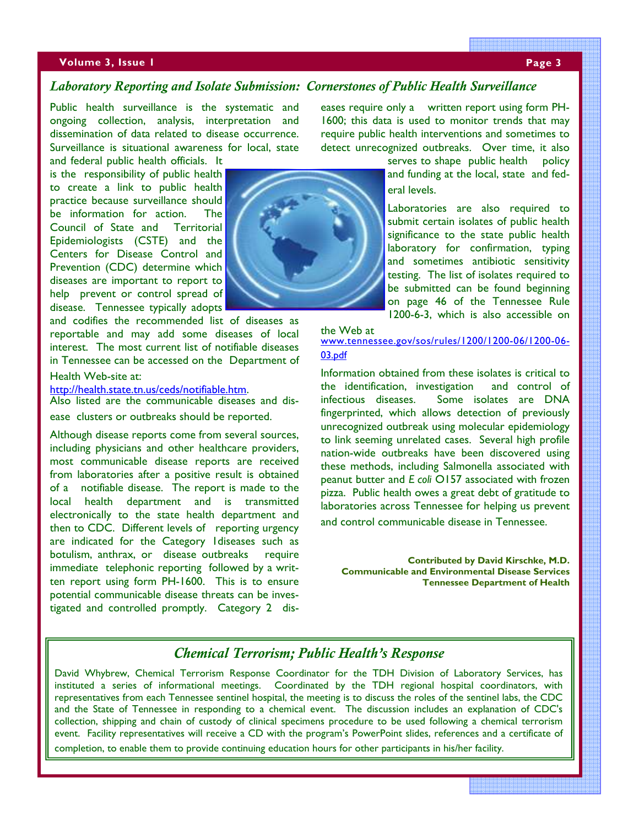## **Volume 3, Issue 1 Page 3 Page 3**

# *Laboratory Reporting and Isolate Submission: Cornerstones of Public Health Surveillance*

Public health surveillance is the systematic and ongoing collection, analysis, interpretation and dissemination of data related to disease occurrence. Surveillance is situational awareness for local, state

and federal public health officials. It is the responsibility of public health to create a link to public health practice because surveillance should be information for action. The Council of State and Territorial Epidemiologists (CSTE) and the Centers for Disease Control and Prevention (CDC) determine which diseases are important to report to help prevent or control spread of disease. Tennessee typically adopts

and codifies the recommended list of diseases as reportable and may add some diseases of local interest. The most current list of notifiable diseases in Tennessee can be accessed on the Department of

### Health Web-site at:

http://health.state.tn.us/ceds/notifiable.htm.<br>Also listed are the communicable diseases and disease clusters or outbreaks should be reported.

Although disease reports come from several sources, including physicians and other healthcare providers, most communicable disease reports are received from laboratories after a positive result is obtained of a notifiable disease. The report is made to the local health department and is transmitted electronically to the state health department and then to CDC. Different levels of reporting urgency are indicated for the Category 1diseases such as botulism, anthrax, or disease outbreaks require immediate telephonic reporting followed by a written report using form PH-1600. This is to ensure potential communicable disease threats can be investigated and controlled promptly. Category 2 dis-



eases require only a written report using form PH-1600; this data is used to monitor trends that may require public health interventions and sometimes to detect unrecognized outbreaks. Over time, it also

> serves to shape public health policy and funding at the local, state and federal levels.

> Laboratories are also required to submit certain isolates of public health significance to the state public health laboratory for confirmation, typing and sometimes antibiotic sensitivity testing. The list of isolates required to be submitted can be found beginning on page 46 of the Tennessee Rule 1200-6-3, which is also accessible on

the Web at www.tennessee.gov/sos/rules/1200/1200-06/1200-06- 03.pdf

Information obtained from these isolates is critical to the identification, investigation and control of infectious diseases. Some isolates are DNA fingerprinted, which allows detection of previously unrecognized outbreak using molecular epidemiology to link seeming unrelated cases. Several high profile nation-wide outbreaks have been discovered using these methods, including Salmonella associated with peanut butter and *E coli* O157 associated with frozen pizza. Public health owes a great debt of gratitude to laboratories across Tennessee for helping us prevent and control communicable disease in Tennessee.

**Contributed by David Kirschke, M.D. Communicable and Environmental Disease Services Tennessee Department of Health** 

# *Chemical Terrorism; Public Health's Response*

David Whybrew, Chemical Terrorism Response Coordinator for the TDH Division of Laboratory Services, has instituted a series of informational meetings. Coordinated by the TDH regional hospital coordinators, with representatives from each Tennessee sentinel hospital, the meeting is to discuss the roles of the sentinel labs, the CDC and the State of Tennessee in responding to a chemical event. The discussion includes an explanation of CDC's collection, shipping and chain of custody of clinical specimens procedure to be used following a chemical terrorism event. Facility representatives will receive a CD with the program's PowerPoint slides, references and a certificate of completion, to enable them to provide continuing education hours for other participants in his/her facility.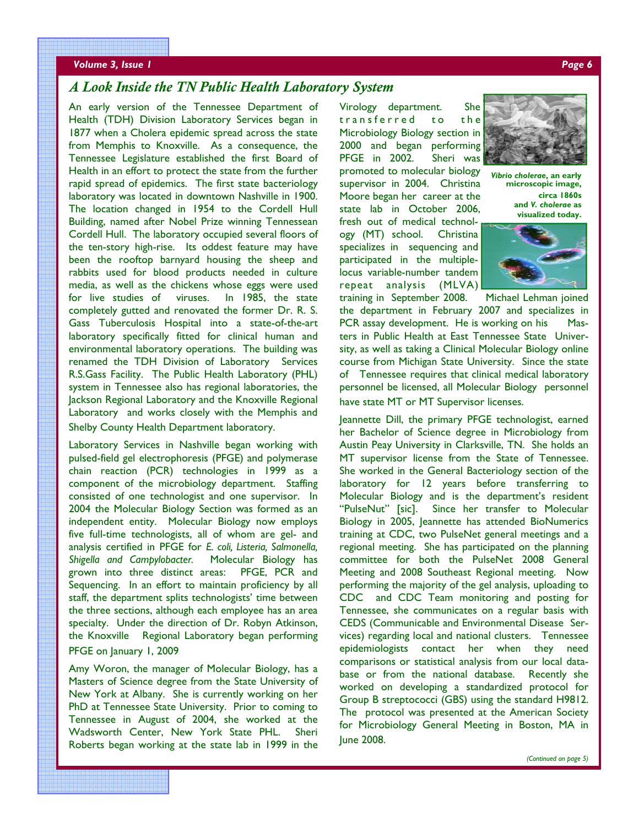#### *Volume 3, Issue 1 Page 6*

# *A Look Inside the TN Public Health Laboratory System*

An early version of the Tennessee Department of Health (TDH) Division Laboratory Services began in 1877 when a Cholera epidemic spread across the state from Memphis to Knoxville. As a consequence, the Tennessee Legislature established the first Board of Health in an effort to protect the state from the further rapid spread of epidemics. The first state bacteriology laboratory was located in downtown Nashville in 1900. The location changed in 1954 to the Cordell Hull Building, named after Nobel Prize winning Tennessean Cordell Hull. The laboratory occupied several floors of the ten-story high-rise. Its oddest feature may have been the rooftop barnyard housing the sheep and rabbits used for blood products needed in culture media, as well as the chickens whose eggs were used for live studies of viruses. In 1985, the state completely gutted and renovated the former Dr. R. S. Gass Tuberculosis Hospital into a state-of-the-art laboratory specifically fitted for clinical human and environmental laboratory operations. The building was renamed the TDH Division of Laboratory Services R.S.Gass Facility. The Public Health Laboratory (PHL) system in Tennessee also has regional laboratories, the Jackson Regional Laboratory and the Knoxville Regional Laboratory and works closely with the Memphis and Shelby County Health Department laboratory.

Laboratory Services in Nashville began working with pulsed-field gel electrophoresis (PFGE) and polymerase chain reaction (PCR) technologies in 1999 as a component of the microbiology department. Staffing consisted of one technologist and one supervisor. In 2004 the Molecular Biology Section was formed as an independent entity. Molecular Biology now employs five full-time technologists, all of whom are gel- and analysis certified in PFGE for *E. coli, Listeria, Salmonella, Shigella and Campylobacter.* Molecular Biology has grown into three distinct areas: PFGE, PCR and Sequencing. In an effort to maintain proficiency by all staff, the department splits technologists' time between the three sections, although each employee has an area specialty. Under the direction of Dr. Robyn Atkinson, the Knoxville Regional Laboratory began performing PFGE on January 1, 2009

Amy Woron, the manager of Molecular Biology, has a Masters of Science degree from the State University of New York at Albany. She is currently working on her PhD at Tennessee State University. Prior to coming to Tennessee in August of 2004, she worked at the Wadsworth Center, New York State PHL. Sheri Roberts began working at the state lab in 1999 in the Virology department. She transferred to the Microbiology Biology section in 2000 and began performing PFGE in 2002. Sheri was promoted to molecular biology supervisor in 2004. Christina Moore began her career at the state lab in October 2006, fresh out of medical technology (MT) school. Christina specializes in sequencing and participated in the multiplelocus variable-number tandem repeat analysis (MLVA)



*Vibrio cholerae***, an early microscopic image, circa 1860s and** *V. cholerae* **as visualized today.** 



training in September 2008. Michael Lehman joined the department in February 2007 and specializes in PCR assay development. He is working on his Masters in Public Health at East Tennessee State University, as well as taking a Clinical Molecular Biology online course from Michigan State University. Since the state of Tennessee requires that clinical medical laboratory personnel be licensed, all Molecular Biology personnel have state MT or MT Supervisor licenses.

Jeannette Dill, the primary PFGE technologist, earned her Bachelor of Science degree in Microbiology from Austin Peay University in Clarksville, TN. She holds an MT supervisor license from the State of Tennessee. She worked in the General Bacteriology section of the laboratory for 12 years before transferring to Molecular Biology and is the department's resident "PulseNut" [sic]. Since her transfer to Molecular Biology in 2005, Jeannette has attended BioNumerics training at CDC, two PulseNet general meetings and a regional meeting. She has participated on the planning committee for both the PulseNet 2008 General Meeting and 2008 Southeast Regional meeting. Now performing the majority of the gel analysis, uploading to CDC and CDC Team monitoring and posting for Tennessee, she communicates on a regular basis with CEDS (Communicable and Environmental Disease Services) regarding local and national clusters. Tennessee epidemiologists contact her when they need comparisons or statistical analysis from our local database or from the national database. Recently she worked on developing a standardized protocol for Group B streptococci (GBS) using the standard H9812. The protocol was presented at the American Society for Microbiology General Meeting in Boston, MA in June 2008.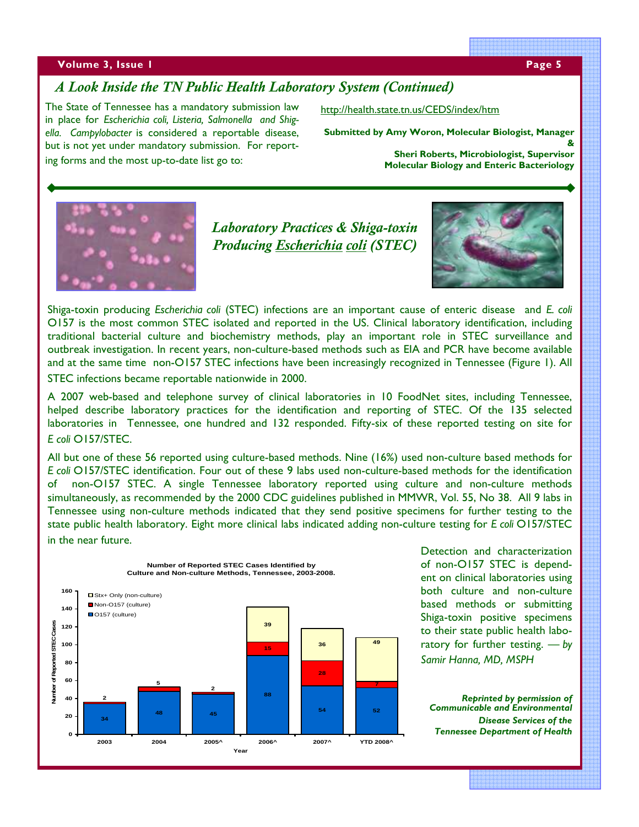#### **Volume 3, Issue 1 Page 5 and 2010 Control of the Control of the Control of the Page 5**

# *A Look Inside the TN Public Health Laboratory System (Continued)*

The State of Tennessee has a mandatory submission law in place for *Escherichia coli, Listeria, Salmonella and Shigella. Campylobacter* is considered a reportable disease, but is not yet under mandatory submission. For reporting forms and the most up-to-date list go to:

http://health.state.tn.us/CEDS/index/htm

**Submitted by Amy Woron, Molecular Biologist, Manager &** 

**Sheri Roberts, Microbiologist, Supervisor Molecular Biology and Enteric Bacteriology**



*Laboratory Practices & Shiga-toxin Producing Escherichia coli (STEC)* 



Shiga-toxin producing *Escherichia coli* (STEC) infections are an important cause of enteric disease and *E. coli* O157 is the most common STEC isolated and reported in the US. Clinical laboratory identification, including traditional bacterial culture and biochemistry methods, play an important role in STEC surveillance and outbreak investigation. In recent years, non-culture-based methods such as EIA and PCR have become available and at the same time non-O157 STEC infections have been increasingly recognized in Tennessee (Figure 1). All STEC infections became reportable nationwide in 2000.

A 2007 web-based and telephone survey of clinical laboratories in 10 FoodNet sites, including Tennessee, helped describe laboratory practices for the identification and reporting of STEC. Of the 135 selected laboratories in Tennessee, one hundred and 132 responded. Fifty-six of these reported testing on site for *E coli* O157/STEC.

All but one of these 56 reported using culture-based methods. Nine (16%) used non-culture based methods for *E coli* O157/STEC identification. Four out of these 9 labs used non-culture-based methods for the identification of non-O157 STEC. A single Tennessee laboratory reported using culture and non-culture methods simultaneously, as recommended by the 2000 CDC guidelines published in MMWR, Vol. 55, No 38. All 9 labs in Tennessee using non-culture methods indicated that they send positive specimens for further testing to the state public health laboratory. Eight more clinical labs indicated adding non-culture testing for *E coli* O157/STEC in the near future.



Detection and characterization of non-O157 STEC is dependent on clinical laboratories using both culture and non-culture based methods or submitting Shiga-toxin positive specimens to their state public health laboratory for further testing. *— by Samir Hanna, MD, MSPH* 

*Reprinted by permission of Communicable and Environmental Disease Services of the Tennessee Department of Health*